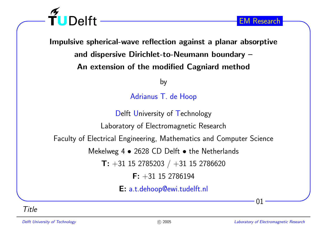

Impulsive spherical-wave reflection against <sup>a</sup> planar absorptive and dispersive Dirichlet-to-Neumann boundary – An extension of the modified Cagniard method

by

Adrianus T. de Hoop

Delft University of Technology

Laboratory of Electromagnetic Research

Faculty of Electrical Engineering, Mathematics and Computer Science

Mekelweg 4  $\bullet$  2628 CD Delft  $\bullet$  the Netherlands

 $\mathsf{T}\colon +31$  15 2785203  $/$   $+31$  15 2786620

 $\mathsf{F:}~+31$  15 2786194

E: a.t.dehoop@ewi.tudelft.nl

Title

01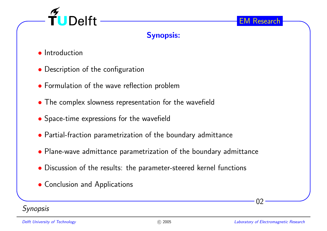

# Synopsis:

- **•** Introduction
- Description of the configuration
- Formulation of the wave reflection problem
- The complex slowness representation for the wavefield
- Space-time expressions for the wavefield
- Partial-fraction parametrization of the boundary admittance
- Plane-wave admittance parametrization of the boundary admittance
- Discussion of the results: the parameter-steered kernel functions
- Conclusion and Applications

## **Synopsis**

02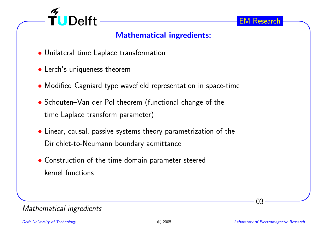

# Mathematical ingredients:

- Unilateral time Laplace transformation
- Lerch's uniqueness theorem
- Modified Cagniard type wavefield representation in space-time
- Schouten–Van der Pol theorem (functional change of the time Laplace transform parameter)
- Linear, causal, passive systems theory parametrization of the Dirichlet-to-Neumann boundary admittance
- Construction of the time-domain parameter-steered kernel functions

#### Mathematical ingredients

03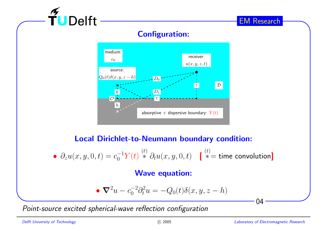# Configuration:



## Local Dirichlet-to-Neumann boundary condition:

$$
\bullet \ \partial_z u(x,y,0,t) = c_0^{-1} Y(t) \stackrel{(t)}{*} {*\partial_t u(x,y,0,t)} \quad \textcolor{red}{[\stackrel{(t)}{*}= \text{time convolution}]}
$$

#### Wave equation:

$$
\bullet \ \nabla^2 u - c_0^{-2} \partial_t^2 u = -Q_0(t) \delta(x, y, z - h)
$$

Point-source excited spherical-wave reflection configuration

 $\widetilde{\mathbf{T}}$ U Delft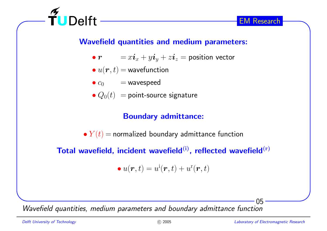

## Wavefield quantities and medium parameters:

 $\bullet\ r$  $\bm{r} \qquad = x\bm{i}_x + y\bm{i}_y + z\bm{i}_z =$  position vector

$$
\bullet\ u(\boldsymbol{r},t) = \text{wavefunction}
$$

 $\widetilde{\mathbf{T}}$ UDelft -

$$
\bullet c_0 = \text{wavespeed}
$$

 $\bullet$   $Q_0(t)\ =$  point-source signature

## Boundary admittance:

 $\bullet~Y(t) =$  normalized boundary admittance function

Total wavefield, incident wavefield $^{(i)}$ , reflected wavefield $^{(r)}$ 

$$
\bullet\ u(\boldsymbol{r},t)=u^{\rm i}(\boldsymbol{r},t)+u^{\rm r}(\boldsymbol{r},t)
$$

Wavefield quantities, medium parameters and boundary admittance function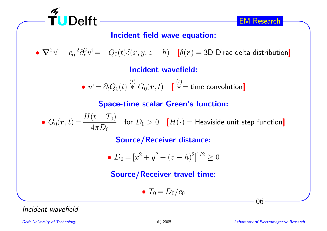

## Incident field wave equation:

 $\bullet \ \boldsymbol{\nabla}^2 u^{\textnormal{i}} - c_0^{-2} \partial_t^2 u^{\textnormal{i}} = -Q_0(t) \delta(x,y,z-h) \quad \text{[} \delta(\boldsymbol{r}) = \textnormal{3D} \text{ Dirac delta distribution} \text{]}$ 

Incident wavefield:

$$
\bullet \ \ u^{\textrm{i}} = \partial_t Q_0(t) \stackrel{(t)}{*}{{\vphantom{\!t}} G}_0({\bm r},t) \quad \ \ \mathbf{[} \stackrel{(t)}{*} = \textrm{time convolution} \textbf{]}
$$

Space-time scalar Green's function:

• $G_0(\bm{r},t)\!=\!\frac{H(t-T_0)}{4\pi D_0}\quad$  for  $D_0>0$   $\quad$   $[H(\bm{\cdot})=$  Heaviside unit step function]

Source/Receiver distance:

• 
$$
D_0 = [x^2 + y^2 + (z - h)^2]^{1/2} \ge 0
$$

## Source/Receiver travel time:

$$
\bullet T_0 = D_0/c_0
$$

Incident wavefield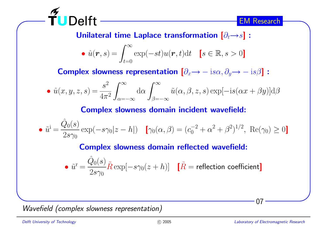

Unilateral time Laplace transformation  $\left[\partial_t{\rightarrow}s\right]$  :

$$
\bullet \ \hat{u}(\boldsymbol{r},s) = \int_{t=0}^{\infty} \exp(-st)u(\boldsymbol{r},t)dt \quad [s \in \mathbb{R}, s > 0]
$$

Complex slowness representation  $\left[\partial_x\rightarrow -\,\mathrm{is}\alpha,\partial_y\rightarrow -\,\mathrm{is}\beta\right]$ :

$$
\bullet \hat{u}(x,y,z,s) = \frac{s^2}{4\pi^2} \int_{\alpha=-\infty}^{\infty} d\alpha \int_{\beta=-\infty}^{\infty} \tilde{u}(\alpha,\beta,z,s) \exp[-is(\alpha x + \beta y)] d\beta
$$

#### Complex slowness domain incident wavefield:

• 
$$
\tilde{u}^{\mathbf{i}} = \frac{\hat{Q}_0(s)}{2s\gamma_0} \exp(-s\gamma_0|z-h|)
$$
  $[\gamma_0(\alpha,\beta) = (c_0^{-2} + \alpha^2 + \beta^2)^{1/2}, \text{ Re}(\gamma_0) \ge 0]$ 

#### Complex slowness domain reflected wavefield:

$$
\bullet \ \tilde u^{\rm r} = \frac{\hat Q_0(s)}{2s\gamma_0} \tilde R \exp[-s\gamma_0(z+h)] \quad \left[\tilde R = {\rm reflection\ coefficient}\right]
$$

Wavefield (complex slowness representation)

 $\widetilde{\mathbf{T}}$ UDelft -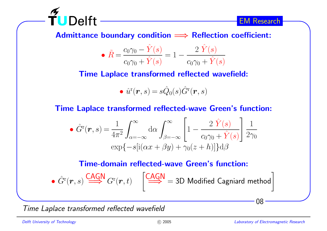

 $\bm{\mathsf{Admittance}}$  boundary condition  $\Longrightarrow$   $\bm{\mathsf{Reflection}}$  coefficient:

• 
$$
\tilde{R} = \frac{c_0 \gamma_0 - \hat{Y}(s)}{c_0 \gamma_0 + \hat{Y}(s)} = 1 - \frac{2 \hat{Y}(s)}{c_0 \gamma_0 + \hat{Y}(s)}
$$

Time Laplace transformed reflected wavefield:

$$
\bullet\,\, \hat{u}^{\rm r}(\boldsymbol{r},s)=s\hat{Q}_0(s)\hat{G}^{\rm r}(\boldsymbol{r},s)
$$

Time Laplace transformed reflected-wave Green's function:

$$
\hat{G}^{\mathrm{r}}(\boldsymbol{r},s) = \frac{1}{4\pi^2} \int_{\alpha=-\infty}^{\infty} d\alpha \int_{\beta=-\infty}^{\infty} \left[1 - \frac{2 \hat{Y}(s)}{c_0\gamma_0 + \hat{Y}(s)}\right] \frac{1}{2\gamma_0}
$$

$$
\exp\{-s[i(\alpha x + \beta y) + \gamma_0(z+h)]\} d\beta
$$

Time-domain reflected-wave Green's function:

$$
\bullet \ \hat{G}^{\mathrm{r}}(\boldsymbol{r},s) \stackrel{\text{CAGN}}{\Longrightarrow} G^{\mathrm{r}}(\boldsymbol{r},t) \quad \left[ \stackrel{\text{CAGN}}{\Longrightarrow} = 3\text{D } \text{Modified Cagniard method} \right]
$$

Time Laplace transformed reflected wavefield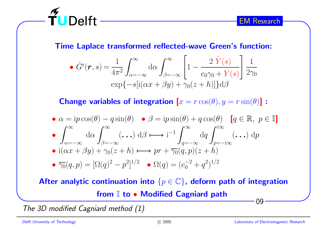

Time Laplace transformed reflected-wave Green's function:

$$
\hat{G}^{\mathrm{r}}(\boldsymbol{r},s) = \frac{1}{4\pi^2} \int_{\alpha=-\infty}^{\infty} d\alpha \int_{\beta=-\infty}^{\infty} \left[1 - \frac{2 \hat{Y}(s)}{c_0 \gamma_0 + \hat{Y}(s)}\right] \frac{1}{2\gamma_0}
$$

$$
\exp\{-s[i(\alpha x + \beta y) + \gamma_0(z+h)]\} d\beta
$$

**Change variables of integration**  $[x = r \cos(\theta), y = r \sin(\theta)]$ :

$$
\begin{aligned}\n\bullet \alpha &= ip \cos(\theta) - q \sin(\theta) \quad \bullet \beta = ip \sin(\theta) + q \cos(\theta) \quad [q \in \mathbb{R}, \ p \in \mathbb{I}] \\
\bullet \int_{\alpha = -\infty}^{\infty} d\alpha \int_{\beta = -\infty}^{\infty} (\dots) \, d\beta \longmapsto i^{-1} \int_{q = -\infty}^{\infty} dq \int_{p = -i\infty}^{i\infty} (\dots) \, dp \\
\bullet i(\alpha x + \beta y) + \gamma_0 (z + h) \longmapsto pr + \overline{\gamma_0}(q, p)(z + h) \\
\bullet \overline{\gamma_0}(q, p) &= [\Omega(q)^2 - p^2]^{1/2} \quad \bullet \Omega(q) = (c_0^{-2} + q^2)^{1/2}\n\end{aligned}
$$

09After analytic continuation into  $\{p\in\mathbb{C}\}$ , deform path of integration from I to • Modified Cagniard path

The 3D modified Cagniard method (1)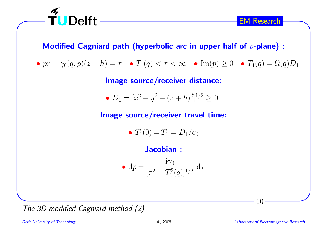

Modified Cagniard path (hyperbolic arc in upper half of  $p\text{-plane})$  :

 $\bullet \, pr + \overline{\gamma_0}(q,p)(z+h) = \tau \quad \bullet \, T_1(q) < \tau < \infty \quad \bullet \, \operatorname{Im}(p) \geq 0 \quad \bullet \, T_1(q) = \Omega(q) D_1$ 

Image source/receiver distance:

•  $D_1 = [x^2 + y^2 + (z+h)^2]^{1/2} \ge 0$ 

Image source/receiver travel time:

•  $T_1(0) = T_1 = D_1/c_0$ 

Jacobian :

$$
\bullet \text{ d}p = \frac{\text{i}\overline{\gamma_0}}{[\tau^2 - T_1^2(q)]^{1/2}} \text{ d}\tau
$$

The 3D modified Cagniard method (2)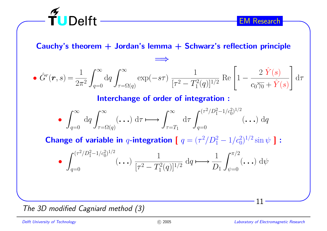

Cauchy's theorem  $+$  Jordan's lemma  $+$  Schwarz's reflection principle

=⇒

$$
\bullet \hat{G}^r(\boldsymbol{r},s) = \frac{1}{2\pi^2} \int_{q=0}^{\infty} dq \int_{\tau=\Omega(q)}^{\infty} \exp(-s\tau) \frac{1}{[\tau^2 - T_1^2(q)]^{1/2}} \operatorname{Re}\left[1 - \frac{2\hat{Y}(s)}{c_0\gamma_0 + \hat{Y}(s)}\right] d\tau
$$

Interchange of order of integration :

$$
\bullet \int_{q=0}^{\infty} dq \int_{\tau=\Omega(q)}^{\infty} (\mathbf{...}) d\tau \longmapsto \int_{\tau=T_1}^{\infty} d\tau \int_{q=0}^{(\tau^2/D_1^2-1/c_0^2)^{1/2}} (\mathbf{...}) dq
$$

Change of variable in  $q$ -integration [  $q=(\tau^2/D_1^2-1/c_0^2)^{1/2}\sin\psi$  ] :

$$
\bullet \int_{q=0}^{(\tau^2/D_1^2 - 1/c_0^2)^{1/2}} (\cdot \cdot \cdot) \frac{1}{[\tau^2 - T_1^2(q)]^{1/2}} dq \mapsto \frac{1}{D_1} \int_{\psi=0}^{\pi/2} (\cdot \cdot) dq
$$

The 3D modified Cagniard method (3)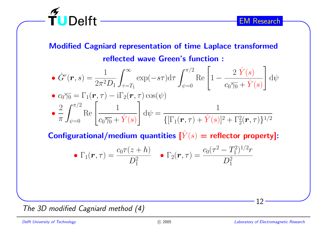

# Modified Cagniard representation of time Laplace transformed reflected wave Green's function :

$$
\hat{G}^r(\boldsymbol{r},s) = \frac{1}{2\pi^2 D_1} \int_{\tau=T_1}^{\infty} \exp(-s\tau) d\tau \int_{\psi=0}^{\pi/2} \text{Re}\left[1 - \frac{2 \hat{Y}(s)}{c_0 \gamma_0 + \hat{Y}(s)}\right] d\psi
$$
  
\n
$$
\hat{\sigma} \cdot \hat{\sigma} \cdot \hat{\sigma} = \Gamma_1(\boldsymbol{r},\tau) - i\Gamma_2(\boldsymbol{r},\tau)\cos(\psi)
$$
  
\n
$$
\hat{\sigma} \cdot \frac{2}{\pi} \int_{\psi=0}^{\pi/2} \text{Re}\left[\frac{1}{c_0 \gamma_0 + \hat{Y}(s)}\right] d\psi = \frac{1}{\{[\Gamma_1(\boldsymbol{r},\tau) + \hat{Y}(s)]^2 + \Gamma_2^2(\boldsymbol{r},\tau)\}^{1/2}}
$$

Configurational/medium quantities  $[\hat{Y}]$  $\left( s\right) =% \left[ \left\{ \mathbf{r}_{i}\in S_{i}\right\} \cdots\left\{ \mathbf{r}_{i}\in S_{i}\right\} \cdots\left\{ \mathbf{r}_{i}\right\} \cdots\left\{ \mathbf{r}_{i}\right\} \cdots\left\{ \mathbf{r}_{i}\right\} \cdots\left\{ \mathbf{r}_{i}\right\} \cdots\left\{ \mathbf{r}_{i}\right\} \cdots\left\{ \mathbf{r}_{i}\right\} \cdots\left\{ \mathbf{r}_{i}\right\} \cdots\left\{ \mathbf{r}_{i}\right\} \cdots\left\{ \mathbf{r}_{i}\right\} \cdots$ 

• 
$$
\Gamma_1(\mathbf{r}, \tau) = \frac{c_0 \tau(z+h)}{D_1^2}
$$
 •  $\Gamma_2(\mathbf{r}, \tau) = \frac{c_0 (\tau^2 - T_1^2)^{1/2} r}{D_1^2}$ 

The 3D modified Cagniard method (4)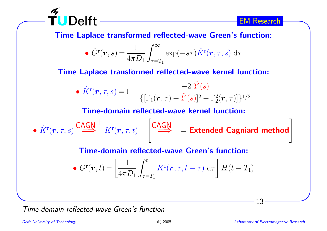

Time Laplace transformed reflected-wave Green's function:

$$
\bullet \hat{G}^{\mathrm{r}}(\boldsymbol{r},s) = \frac{1}{4\pi D_1} \int_{\tau=T_1}^{\infty} \exp(-s\tau) \hat{K}^{\mathrm{r}}(\boldsymbol{r},\tau,s) d\tau
$$

Time Laplace transformed reflected-wave kernel function:

• 
$$
\hat{K}^{\text{r}}(\boldsymbol{r}, \tau, s) = 1 - \frac{-2 \hat{Y}(s)}{\{[\Gamma_1(\boldsymbol{r}, \tau) + \hat{Y}(s)]^2 + \Gamma_2^2(\boldsymbol{r}, \tau)]\}^{1/2}}
$$

Time-domain reflected-wave kernel function:

 $\bullet$   $K$ ˆ $\mathbf{C}^{\mathrm{r}}(\bm{r},\tau,s) \stackrel{\mathsf{CAGN}}{\Longrightarrow} K^{\mathrm{r}}(\bm{r},\tau,t) \quad \left[ \stackrel{\mathsf{CAGN}}{\Longrightarrow} \right] = \mathsf{Extended~Cagniard~method} \ .$ 

#### Time-domain reflected-wave Green's function:

$$
\bullet \, G^{\rm r}(\boldsymbol{r},t) = \left[\frac{1}{4\pi D_1} \int_{\tau=T_1}^t K^{\rm r}(\boldsymbol{r},\tau,t-\tau) \, d\tau\right] H(t-T_1)
$$

Time-domain reflected-wave Green's function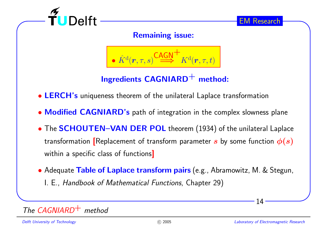

Remaining issue:

$$
\bullet \; \hat{K}^{\mathrm{d}}(\pmb{r},\tau,s) \stackrel{\mathsf{CAGN}}{\Longrightarrow} K^{\mathrm{d}}(\pmb{r},\tau,t) \; \left| \right.
$$

Ingredients  $CAGNIARD$ <sup>+</sup> method:

• LERCH's uniqueness theorem of the unilateral Laplace transformation

- Modified CAGNIARD's path of integration in the complex slowness plane
- The SCHOUTEN–VAN DER POL theorem (1934) of the unilateral Laplace transformation [Replacement of transform parameter  $\bm{s}$  by some function  $\bm{\phi}(\bm{s})$ within <sup>a</sup> specific class of functions]
- Adequate Table of Laplace transform pairs (e.g., Abramowitz, M. & Stegun, l. E., *Handbook of Mathematical Functions*, Chapter 29)

# The CAGNIARD $^+$  method

14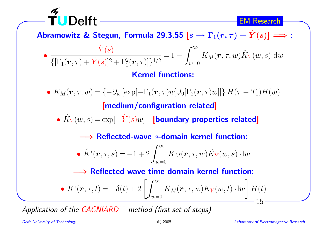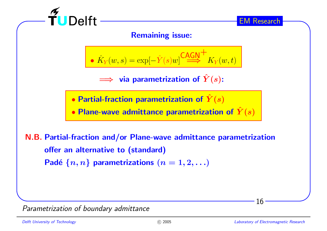

Parametrization of boundary admittance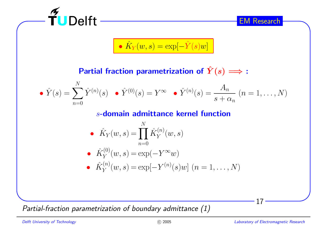| EM Research                                                                                                                                                       |  |
|-------------------------------------------------------------------------------------------------------------------------------------------------------------------|--|
| \n $\hat{K}_Y(w,s) = \exp[-\hat{Y}(s)w]$ \n                                                                                                                       |  |
| Partial fraction parametrization of $\hat{Y}(s) \implies:$                                                                                                        |  |
| \n $\hat{Y}(s) = \sum_{n=0}^N \hat{Y}^{(n)}(s) \cdot \hat{Y}^{(0)}(s) = Y^{\infty} \cdot \hat{Y}^{(n)}(s) = \frac{A_n}{s + \alpha_n} \quad (n = 1, \ldots, N)$ \n |  |
| \n $s$ -domain admittance Kernel function\n                                                                                                                       |  |
| \n $\hat{K}_Y(w,s) = \prod_{n=0}^N \hat{K}_Y^{(n)}(w,s)$ \n                                                                                                       |  |
| \n $\hat{K}_Y^{(0)}(w,s) = \exp(-Y^{\infty}w)$ \n                                                                                                                 |  |
| \n $\hat{K}_Y^{(n)}(w,s) = \exp[-Y^{(n)}(s)w] \quad (n = 1, \ldots, N)$ \n                                                                                        |  |

Partial-fraction parametrization of boundary admittance  $\left( 1\right)$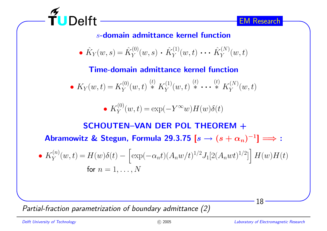

 $s$ -domain admittance kernel function

• 
$$
\hat{K}_Y(w, s) = \hat{K}_Y^{(0)}(w, s) \cdot \hat{K}_Y^{(1)}(w, t) \cdot \cdot \cdot \hat{K}_Y^{(N)}(w, t)
$$

Time-domain admittance kernel function

• 
$$
K_Y(w,t) = K_Y^{(0)}(w,t) \stackrel{(t)}{*} K_Y^{(1)}(w,t) \stackrel{(t)}{*} \cdots \stackrel{(t)}{*} K_Y^{(N)}(w,t)
$$

• 
$$
K_Y^{(0)}(w,t) = \exp(-Y^{\infty}w)H(w)\delta(t)
$$

SCHOUTEN–VAN DER POL THEOREM + Abramowitz & Stegun, Formula 29.3.75  $[s \rightarrow (s+\alpha_n)^{-1}] \Longrightarrow$  : •  $K_Y^{(n)}(w,t) = H(w)\delta(t) - \left[\exp(-\alpha_n t)(A_n w/t)^{1/2}J_1[2(A_n wt)^{1/2}]\right]H(w)H(t)$ for  $n=1,\ldots,N$ 

Partial-fraction parametrization of boundary admittance (2)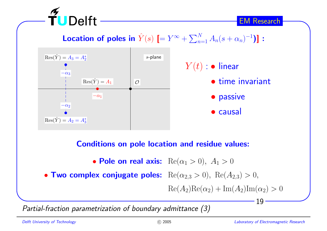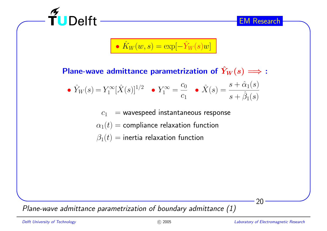

Plane-wave admittance parametrization of  $\hat{Y}_1$  $Y_W(s) \Longrightarrow$  :  $\bullet$   $Y_{\rm I}$ ˆ $\hat{Y}_W(s) = Y_1^\infty[\hat{X}]$  $\hat{X}(s) ]^{1/2} \quad \bullet \; Y_1^\infty = \frac{c_0}{c_1} \quad \bullet \; \hat{X}(s) = \frac{s + \hat{\alpha}_1(s)}{s + \hat{\beta}_1(s)}$  $c_1\;\;=$  wavespeed instantaneous response  $\alpha_1(t)$  = compliance relaxation function

 $\beta_1(t)$  = inertia relaxation function

Plane-wave admittance parametrization of boundary admittance  $\left( 1\right)$ 

20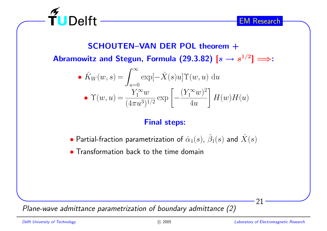

SCHOUTEN–VAN DER POL theorem + Abramowitz and Stegun, Formula (29.3.82)  $[s\rightarrow s^{1/2}]\Longrightarrow:$ 

• 
$$
\hat{K}_W(w, s) = \int_{u=0}^{\infty} \exp[-\hat{X}(s)u] \Upsilon(w, u) du
$$
  
•  $\Upsilon(w, u) = \frac{Y_1^{\infty}w}{(4\pi u^3)^{1/2}} \exp\left[-\frac{(Y_1^{\infty}w)^2}{4u}\right] H(w)H(u)$ 

# Final steps:

- $\bullet$  Partial-fraction parametrization of  $\hat{\alpha}_1(s)$ ,  $\hat{\beta}$  $_1(s)$  and  $\hat{X}$  $\left( s\right)$
- Transformation back to the time domain

Plane-wave admittance parametrization of boundary admittance (2)

21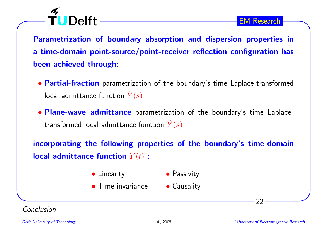Parametrization of boundary absorption and dispersion properties in a time-domain point-source/point-receiver reflection configuration has been achieved through:

- Partial-fraction parametrization of the boundary's time Laplace-transformed local admittance function  $Y$ ˆ $\left( s\right)$
- Plane-wave admittance parametrization of the boundary's time Laplacetransformed local admittance function  $\hat{Y}(s)$

incorporating the following properties of the boundary's time-domain local admittance function  $Y(t)$  :

- Linearity • Passivity
- **Time invariance**
- Causality

Conclusion

TUDelft -